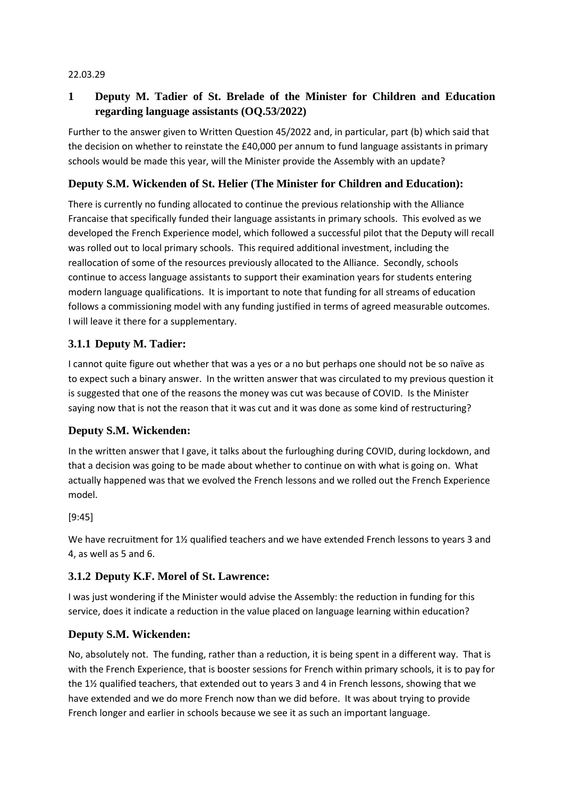#### 22.03.29

# **1 Deputy M. Tadier of St. Brelade of the Minister for Children and Education regarding language assistants (OQ.53/2022)**

Further to the answer given to Written Question 45/2022 and, in particular, part (b) which said that the decision on whether to reinstate the £40,000 per annum to fund language assistants in primary schools would be made this year, will the Minister provide the Assembly with an update?

## **Deputy S.M. Wickenden of St. Helier (The Minister for Children and Education):**

There is currently no funding allocated to continue the previous relationship with the Alliance Francaise that specifically funded their language assistants in primary schools. This evolved as we developed the French Experience model, which followed a successful pilot that the Deputy will recall was rolled out to local primary schools. This required additional investment, including the reallocation of some of the resources previously allocated to the Alliance. Secondly, schools continue to access language assistants to support their examination years for students entering modern language qualifications. It is important to note that funding for all streams of education follows a commissioning model with any funding justified in terms of agreed measurable outcomes. I will leave it there for a supplementary.

## **3.1.1 Deputy M. Tadier:**

I cannot quite figure out whether that was a yes or a no but perhaps one should not be so naïve as to expect such a binary answer. In the written answer that was circulated to my previous question it is suggested that one of the reasons the money was cut was because of COVID. Is the Minister saying now that is not the reason that it was cut and it was done as some kind of restructuring?

#### **Deputy S.M. Wickenden:**

In the written answer that I gave, it talks about the furloughing during COVID, during lockdown, and that a decision was going to be made about whether to continue on with what is going on. What actually happened was that we evolved the French lessons and we rolled out the French Experience model.

#### [9:45]

We have recruitment for 1½ qualified teachers and we have extended French lessons to years 3 and 4, as well as 5 and 6.

#### **3.1.2 Deputy K.F. Morel of St. Lawrence:**

I was just wondering if the Minister would advise the Assembly: the reduction in funding for this service, does it indicate a reduction in the value placed on language learning within education?

#### **Deputy S.M. Wickenden:**

No, absolutely not. The funding, rather than a reduction, it is being spent in a different way. That is with the French Experience, that is booster sessions for French within primary schools, it is to pay for the 1½ qualified teachers, that extended out to years 3 and 4 in French lessons, showing that we have extended and we do more French now than we did before. It was about trying to provide French longer and earlier in schools because we see it as such an important language.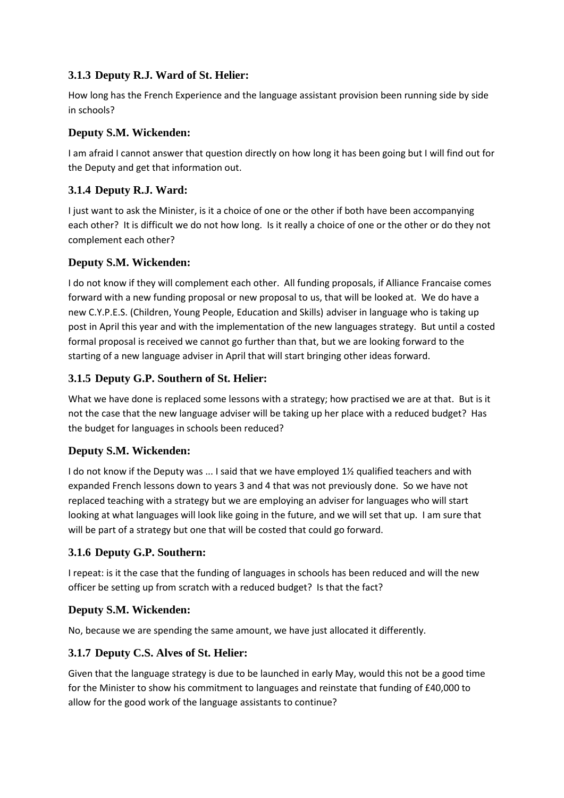## **3.1.3 Deputy R.J. Ward of St. Helier:**

How long has the French Experience and the language assistant provision been running side by side in schools?

#### **Deputy S.M. Wickenden:**

I am afraid I cannot answer that question directly on how long it has been going but I will find out for the Deputy and get that information out.

# **3.1.4 Deputy R.J. Ward:**

I just want to ask the Minister, is it a choice of one or the other if both have been accompanying each other? It is difficult we do not how long. Is it really a choice of one or the other or do they not complement each other?

## **Deputy S.M. Wickenden:**

I do not know if they will complement each other. All funding proposals, if Alliance Francaise comes forward with a new funding proposal or new proposal to us, that will be looked at. We do have a new C.Y.P.E.S. (Children, Young People, Education and Skills) adviser in language who is taking up post in April this year and with the implementation of the new languages strategy. But until a costed formal proposal is received we cannot go further than that, but we are looking forward to the starting of a new language adviser in April that will start bringing other ideas forward.

# **3.1.5 Deputy G.P. Southern of St. Helier:**

What we have done is replaced some lessons with a strategy; how practised we are at that. But is it not the case that the new language adviser will be taking up her place with a reduced budget? Has the budget for languages in schools been reduced?

# **Deputy S.M. Wickenden:**

I do not know if the Deputy was ... I said that we have employed 1½ qualified teachers and with expanded French lessons down to years 3 and 4 that was not previously done. So we have not replaced teaching with a strategy but we are employing an adviser for languages who will start looking at what languages will look like going in the future, and we will set that up. I am sure that will be part of a strategy but one that will be costed that could go forward.

# **3.1.6 Deputy G.P. Southern:**

I repeat: is it the case that the funding of languages in schools has been reduced and will the new officer be setting up from scratch with a reduced budget? Is that the fact?

# **Deputy S.M. Wickenden:**

No, because we are spending the same amount, we have just allocated it differently.

# **3.1.7 Deputy C.S. Alves of St. Helier:**

Given that the language strategy is due to be launched in early May, would this not be a good time for the Minister to show his commitment to languages and reinstate that funding of £40,000 to allow for the good work of the language assistants to continue?